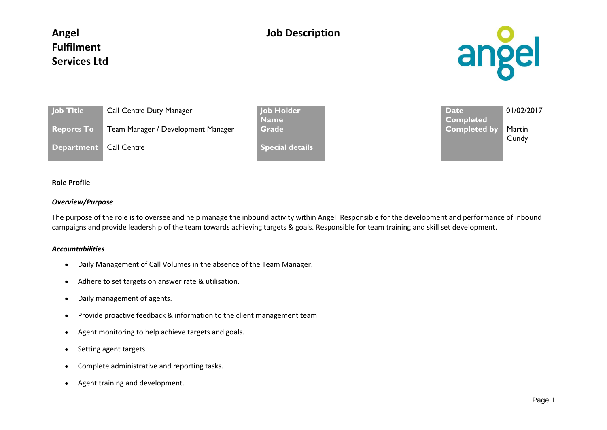# **Angel Fulfilment Services Ltd**

## **Job Description**



| <b>Job Title</b>         | <b>Call Centre Duty Manager</b>  |
|--------------------------|----------------------------------|
| <b>Reports To</b>        | Team Manager / Development Manag |
| Department   Call Centre |                                  |

**Job Holder Name Special details** 

**Date Completed**  01/02/2017 **Reports To Team Manager / Development Manager / Completed by Martin Cundy** 

### **Role Profile**

### *Overview/Purpose*

The purpose of the role is to oversee and help manage the inbound activity within Angel. Responsible for the development and performance of inbound campaigns and provide leadership of the team towards achieving targets & goals. Responsible for team training and skill set development.

#### *Accountabilities*

- Daily Management of Call Volumes in the absence of the Team Manager.
- Adhere to set targets on answer rate & utilisation.
- Daily management of agents.
- Provide proactive feedback & information to the client management team
- Agent monitoring to help achieve targets and goals.
- Setting agent targets.
- Complete administrative and reporting tasks.
- Agent training and development.